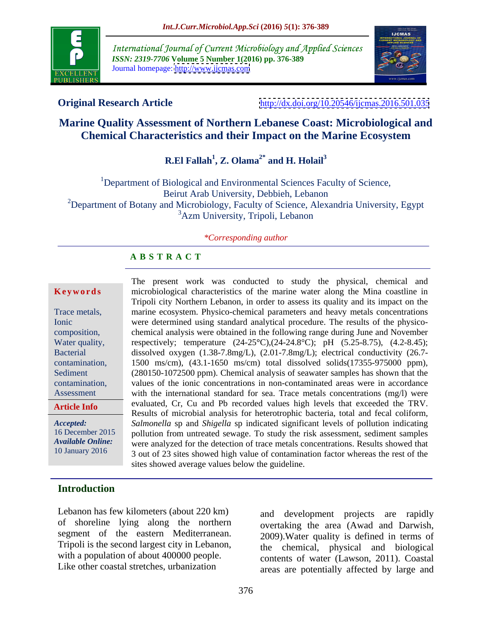

International Journal of Current Microbiology and Applied Sciences *ISSN: 2319-7706* **Volume 5 Number 1(2016) pp. 376-389** Journal homepage: <http://www.ijcmas.com>



**Original Research Article** <http://dx.doi.org/10.20546/ijcmas.2016.501.035>

### **Marine Quality Assessment of Northern Lebanese Coast: Microbiological and Chemical Characteristics and their Impact on the Marine Ecosystem**

### **R.El Fallah 1 , Z. Olama2\*** and H. Holail<sup>3</sup>

<sup>1</sup>Department of Biological and Environmental Sciences Faculty of Science, Beirut Arab University, Debbieh, Lebanon <sup>2</sup>Department of Botany and Microbiology, Faculty of Science, Alexandria University, Egypt <sup>3</sup>Azm University, Tripoli, Lebanon

### *\*Corresponding author*

### **A B S T R A C T**

**Article Info**

The present work was conducted to study the physical, chemical and **Keywords** microbiological characteristics of the marine water along the Mina coastline in Tripoli city Northern Lebanon, in order to assess its quality and its impact on the marine ecosystem. Physico-chemical parameters and heavy metals concentrations Trace metals, Ionic were determined using standard analytical procedure. The results of the physicocomposition, chemical analysis were obtained in the following range during June and November respectively; temperature (24-25**°**C),(24-24.8°C); pH (5.25-8.75), (4.2-8.45); Water quality, Bacterial dissolved oxygen (1.38-7.8mg/L), (2.01-7.8mg/L); electrical conductivity (26.7-1500 ms/cm), (43.1-1650 ms/cm) total dissolved solids(17355-975000 ppm), contamination, Sediment (280150-1072500 ppm). Chemical analysis of seawater samples has shown that the contamination, values of the ionic concentrations in non-contaminated areas were in accordance with the international standard for sea. Trace metals concentrations (mg/l) were Assessment evaluated, Cr, Cu and Pb recorded values high levels that exceeded the TRV. Results of microbial analysis for heterotrophic bacteria, total and fecal coliform,<br>*Accepted:* Salmonella sp and *Shigella* sp indicated significant levels of pollution indicating pollution from untreated sewage. To study the risk assessment, sediment samples 16 December 2015 Available Online:<br>10 January 2016 3 out of 23 sites showed bigh value of contamination factor whereas the rest of the 3 out of 23 sites showed high value of contamination factor whereas the rest of the sites showed average values below the guideline.

### **Introduction**

Lebanon has few kilometers (about 220 km) of shoreline lying along the northern segment of the eastern Mediterranean. with a population of about 400000 people.

Tripoli is the second largest city in Lebanon, the chemical, physical and biological Like other coastal stretches, urbanization areas are potentially affected by large and and development projects are rapidly overtaking the area (Awad and Darwish, 2009).Water quality is defined in terms of contents of water (Lawson, 2011). Coastal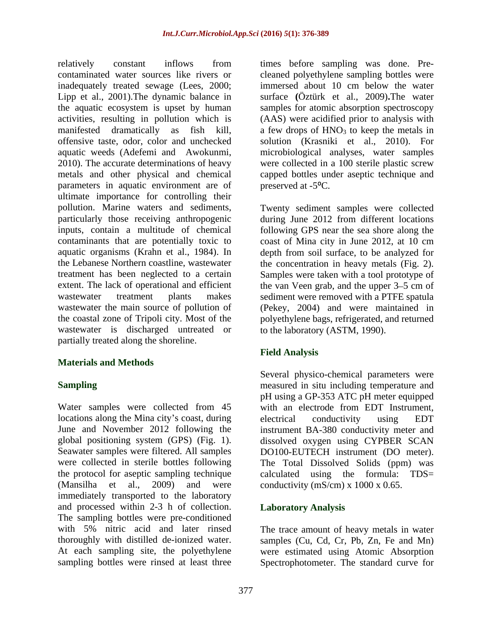relatively constant inflows from times before sampling was done. Pre contaminated water sources like rivers or cleaned polyethylene sampling bottles were inadequately treated sewage (Lees, 2000; immersed about 10 cm below the water Lipp et al., 2001).The dynamic balance in surface **(**Öztürk et al., 2009)**.**The water the aquatic ecosystem is upset by human samples for atomic absorption spectroscopy activities, resulting in pollution which is (AAS) were acidified prior to analysis with manifested dramatically as fish kill, a few drops of  $HNO<sub>3</sub>$  to keep the metals in offensive taste, odor, color and unchecked solution (Krasniki et al., 2010). For aquatic weeds (Adefemi and Awokunmi, microbiological analyses, water samples 2010). The accurate determinations of heavy were collected in a 100 sterile plastic screw metals and other physical and chemical capped bottles under aseptic technique and parameters in aquatic environment are of preserved at -5<sup>o</sup>C. ultimate importance for controlling their pollution. Marine waters and sediments, Twenty sediment samples were collected particularly those receiving anthropogenic during June 2012 from different locations inputs, contain a multitude of chemical following GPS near the sea shore along the contaminants that are potentially toxic to coast of Mina city in June 2012, at 10 cm aquatic organisms (Krahn et al., 1984). In depth from soil surface, to be analyzed for the Lebanese Northern coastline, wastewater the concentration in heavy metals (Fig. 2). treatment has been neglected to a certain Samples were taken with a tool prototype of extent. The lack of operational and efficient the van Veen grab, and the upper 3–5 cm of wastewater treatment plants makes sediment were removed with a PTFE spatula wastewater the main source of pollution of (Pekey, 2004) and were maintained in the coastal zone of Tripoli city. Most of the polyethylene bags, refrigerated, and returned wastewater is discharged untreated or partially treated along the shoreline.

### **Materials and Methods**

Water samples were collected from 45 with an electrode from EDT Instrument. locations along the Mina city's coast, during electrical conductivity using EDT the protocol for aseptic sampling technique (Mansilha et al., 2009) and were conductivity (mS/cm) x 1000 x 0.65. immediately transported to the laboratory and processed within 2-3 h of collection. The sampling bottles were pre-conditioned with 5% nitric acid and later rinsed The trace amount of heavy metals in water thoroughly with distilled de-ionized water. samples (Cu, Cd, Cr, Pb, Zn, Fe and Mn) At each sampling site, the polyethylene were estimated using Atomic Absorption

immersed about 10 cm below the water preserved at  $-5$ <sup>o</sup>C.

to the laboratory (ASTM, 1990).

### **Field Analysis**

**Sampling Sampling neasured** in situ including temperature and June and November 2012 following the instrument BA-380 conductivity meter and global positioning system (GPS) (Fig. 1). dissolved oxygen using CYPBER SCAN Seawater samples were filtered. All samples DO100-EUTECH instrument (DO meter). were collected in sterile bottles following The Total Dissolved Solids (ppm) was Several physico-chemical parameters were pH using a GP-353 ATC pH meter equipped with an electrode from EDT Instrument, electrical conductivity using EDT calculated using the formula: TDS=

### **Laboratory Analysis**

sampling bottles were rinsed at least three Spectrophotometer. The standard curve for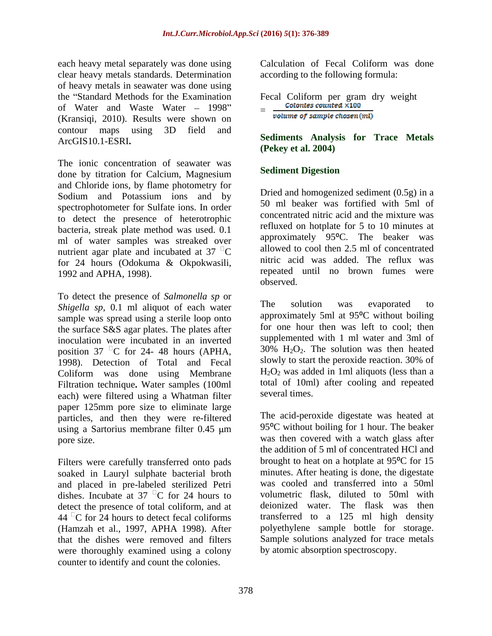each heavy metal separately was done using Calculation of Fecal Coliform was done clear heavy metals standards. Determination of heavy metals in seawater was done using the "Standard Methods for the Examination<br>
of Water and Waste Water - 1998" - Colonies counted  $\times$ 100 of Water and Waste Water - 1998"  $=$  Colonies counted  $\times$ 100<br>(Kransigi 2010) Results were shown on (Kransiqi, 2010). Results were shown on contour maps using 3D field and ArcGIS10.1-ESRI**. Sediments Analysis for Trace Metals**

The ionic concentration of seawater was done by titration for Calcium, Magnesium and Chloride ions, by flame photometry for Sodium and Potassium ions and by spectrophotometer for Sulfate ions. In order to detect the presence of heterotrophic bacteria, streak plate method was used. 0.1 ml of water samples was streaked over nutrient agar plate and incubated at 37 $\mathrm{C}$ for 24 hours (Odokuma & Okpokwasili,

To detect the presence of *Salmonella sp* or<br>Shigella sp 0.1 ml aliquot of each water. The solution was evaporated to *Shigella sp,* 0.1 ml aliquot of each water sample was spread using a sterile loop onto the surface S&S agar plates. The plates after inoculation were incubated in an inverted position 37  $\mathrm{C}$  for 24- 48 hours (APHA, 1998). Detection of Total and Fecal Coliform was done using Membrane Filtration technique. Water samples (100ml total of 10ml angles (100ml total of 10ml angles of 10ml angles in the several times. each) were filtered using a Whatman filter paper 125mm pore size to eliminate large particles, and then they were re-filtered using a Sartorius membrane filter 0.45  $\mu$ m

Filters were carefully transferred onto pads soaked in Lauryl sulphate bacterial broth and placed in pre-labeled sterilized Petri dishes. Incubate at 37  $\mathrm{C}$  for 24 hours to detect the presence of total coliform, and at (Hamzah et al., 1997, APHA 1998). After were thoroughly examined using a colony counter to identify and count the colonies.

Calculation of Fecal Coliform was done according to the following formula:

Fecal Coliform per gram dry weight<br>=  $\frac{Colonies \text{ counted} \times 100}{Tolumge \text{ of sample \text{ element}}}$ 

**(Pekey et al. 2004)**

### **Sediment Digestion**

1992 and APHA, 1998). repeated until no brown fumes were Dried and homogenized sediment (0.5g) in a 50 ml beaker was fortified with 5ml of concentrated nitric acid and the mixture was refluxed on hotplate for 5 to 10 minutes at approximately 95<sup>o</sup>C. The beaker was allowed to cool then 2.5 ml of concentrated nitric acid was added. The reflux was observed.

> The solution was evaporated to approximately 5ml at  $95^{\circ}$ C without boiling for one hour then was left to cool; then supplemented with 1 ml water and 3ml of  $30\%$  H<sub>2</sub>O<sub>2</sub>. The solution was then heated slowly to start the peroxide reaction. 30% of  $H<sub>2</sub>O<sub>2</sub>$  was added in 1ml aliquots (less than a total of 10ml) after cooling and repeated several times.

pore size. was then covered with a watch glass after  $44^{\circ}$ C for 24 hours to detect fecal coliforms transferred to a 125 ml high density that the dishes were removed and filters Sample solutions analyzed for trace metals The acid-peroxide digestate was heated at  $95^{\circ}$ C without boiling for 1 hour. The beaker the addition of 5 ml of concentrated HCl and brought to heat on a hotplate at  $95^{\circ}$ C for 15 minutes. After heating is done, the digestate was cooled and transferred into a 50ml volumetric flask, diluted to 50ml with deionized water. The flask was then polyethylene sample bottle for storage. by atomic absorption spectroscopy.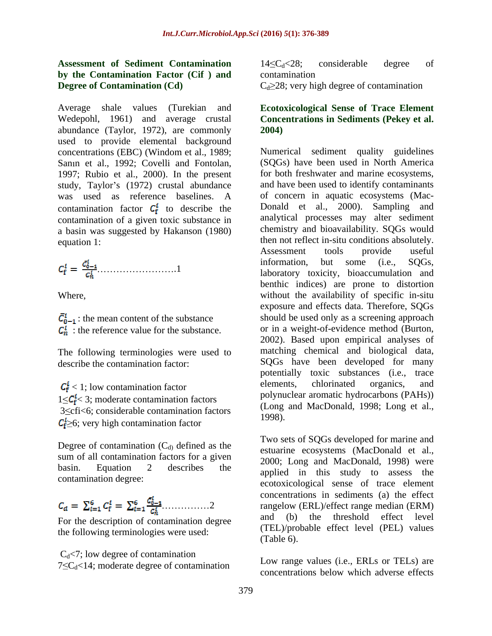### **Assessment of Sediment Contamination by the Contamination Factor (Cif ) and Degree of Contamination (Cd)**  $C_d \geq 28$ ; very high degree of contamination

Average shale values (Turekian and Wedepohl, 1961) and average crustal abundance (Taylor, 1972), are commonly used to provide elemental background concentrations (EBC) (Windom et al., 1989; Sanın et al., 1992; Covelli and Fontolan, 1997; Rubio et al., 2000). In the present study, Taylor's (1972) crustal abundance was used as reference baselines. A contamination factor  $C_f^i$  to describe the Donald et al., 2000). Sampling and contamination of a given toxic substance in a basin was suggested by Hakanson (1980)

The following terminologies were used to

 $1 \leq C_f^1$  < 3; moderate contamination factors  $3 \leq c \text{fi} < 6$ ; considerable contamination factors (Long 1998).  $C_1^l \geq 6$ ; very high contamination factor

Degree of contamination  $(C_d)$  defined as the sum of all contamination factors for a given

$$
C_d = \sum_{i=1}^{6} C_f^i = \sum_{i=1}^{6} \frac{C_{0-1}^i}{C_n^i} \dots \dots \dots \dots \dots 2
$$

For the description of contamination degree the following terminologies were used:  $(1EL)/p$  (Table 6).

 $C_d$ <7; low degree of contamination  $7 \leq C_d < 14$ ; moderate degree of contamination  $14 \leq C_d < 28$ ; considerable degree of contamination

### **Ecotoxicological Sense of Trace Element Concentrations in Sediments (Pekey et al. 2004)**

equation 1: equation 1: then not reflect in-situ conditions absolutely. .1 laboratory toxicity, bioaccumulation and Where, without the availability of specific in-situ : the mean content of the substance should be used only as a screening approach : the reference value for the substance. or in a weight-of-evidence method (Burton, describe the contamination factor: SQGs have been developed for many  $C_f^i$  < 1; low contamination factor elements, chlorinated organics, and Numerical sediment quality guidelines (SQGs) have been used in North America for both freshwater and marine ecosystems, and have been used to identify contaminants of concern in aquatic ecosystems (Mac- Donald et al., 2000). Sampling and analytical processes may alter sediment chemistry and bioavailability. SQGs would Assessment tools provide useful information, but some (i.e., SQGs, benthic indices) are prone to distortion exposure and effects data. Therefore, SQGs should be used only as a screening approach or in a weight-of-evidence method (Burton, 2002). Based upon empirical analyses of matching chemical and biological data, potentially toxic substances (i.e., trace elements, chlorinated organics, and polynuclear aromatic hydrocarbons (PAHs)) (Long and MacDonald, 1998; Long et al., 1998).

basin. Equation 2 describes the applied in this study to assess the contamination degree: ecotoxicological sense of trace element 2 rangelow (ERL)/effect range median (ERM) Two sets of SQGs developed for marine and estuarine ecosystems (MacDonald et al., 2000; Long and MacDonald, 1998) were concentrations in sediments (a) the effect and (b) the threshold effect level (TEL)/probable effect level (PEL) values (Table 6).

> Low range values (i.e., ERLs or TELs) are concentrations below which adverse effects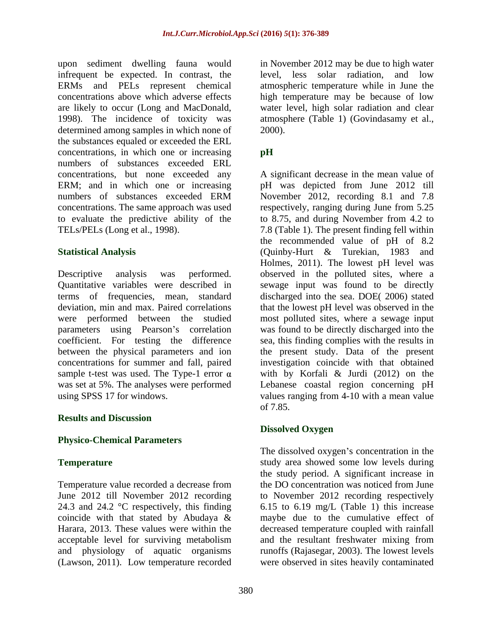upon sediment dwelling fauna would in November 2012 may be due to high water infrequent be expected. In contrast, the ERMs and PELs represent chemical atmospheric temperature while in June the concentrations above which adverse effects high temperature may be because of low are likely to occur (Long and MacDonald, water level, high solar radiation and clear 1998). The incidence of toxicity was determined among samples in which none of 2000). the substances equaled or exceeded the ERL concentrations, in which one or increasing pH numbers of substances exceeded ERL

sample t-test was used. The Type-1 error  $\alpha$ 

### **Results and Discussion**

### **Physico-Chemical Parameters**

24.3 and 24.2 °C respectively, this finding and physiology of aquatic organisms (Lawson, 2011). Low temperature recorded were observed in sites heavily contaminated

level, less solar radiation, and low atmosphere (Table 1) (Govindasamy et al., 2000).

### **pH**

concentrations, but none exceeded any A significant decrease in the mean value of ERM; and in which one or increasing pH was depicted from June 2012 till numbers of substances exceeded ERM November 2012, recording 8.1 and 7.8 concentrations. The same approach was used respectively, ranging during June from 5.25 to evaluate the predictive ability of the to 8.75, and during November from 4.2 to TELs/PELs (Long et al., 1998). 7.8 (Table 1). The present finding fell within **Statistical Analysis** (Quinby-Hurt & Turekian, 1983 and Descriptive analysis was performed. observed in the polluted sites, where a Quantitative variables were described in sewage input was found to be directly terms of frequencies, mean, standard discharged into the sea. DOE( 2006) stated deviation, min and max. Paired correlations that the lowest pH level was observed in the were performed between the studied most polluted sites, where a sewage input parameters using Pearson's correlation was found to be directly discharged into the coefficient. For testing the difference sea, this finding complies with the results in between the physical parameters and ion the present study. Data of the present concentrations for summer and fall, paired investigation coincide with that obtained was set at 5%. The analyses were performed Lebanese coastal region concerning pH using SPSS 17 for windows. values ranging from 4-10 with a mean value November 2012, recording 8.1 and 7.8 the recommended value of pH of 8.2 Holmes, 2011). The lowest pH level was with by Korfali & Jurdi (2012) on the of 7.85.

### **Dissolved Oxygen**

**Temperature** Temperature **study** area showed some low levels during Temperature value recorded a decrease from the DO concentration was noticed from June June 2012 till November 2012 recording to November 2012 recording respectively coincide with that stated by Abudaya  $\&$  maybe due to the cumulative effect of Harara, 2013. These values were within the decreased temperature coupled with rainfall acceptable level for surviving metabolism and the resultant freshwater mixing from The dissolved oxygen's concentration in the the study period. A significant increase in 6.15 to 6.19 mg/L (Table 1) this increase maybe due to the cumulative effect of and the resultant freshwater mixing from runoffs (Rajasegar, 2003). The lowest levels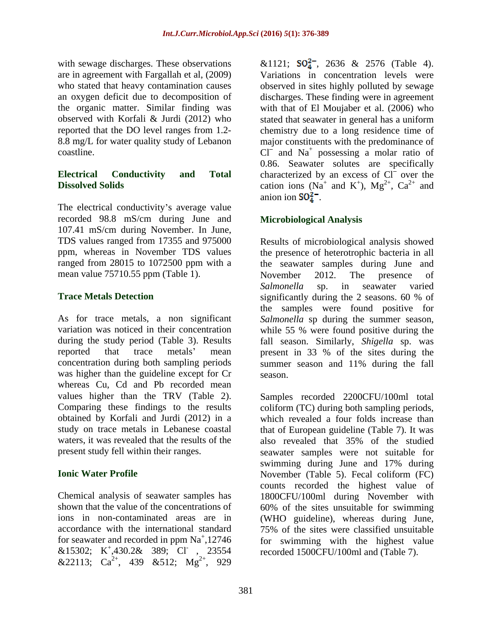with sewage discharges. These observations  $\&1121$ ;  $SO_4^{2-}$ , 2636  $&2576$  (Table 4).

The electrical conductivity's average value recorded 98.8 mS/cm during June and 107.41 mS/cm during November. In June, mean value 75710.55 ppm (Table 1). November 2012. The presence of

was higher than the guideline except for Cr season. whereas Cu, Cd and Pb recorded mean obtained by Korfali and Jurdi (2012) in a

accordance with the international standard  $75\%$  of the sites were classified unsuitable for seawater and recorded in ppm  $Na<sup>+</sup>,12746$ &22113;  $Ca^{2+}$ , 439 &512;  $Mg^{2+}$ , 929 , 929

are in agreement with Fargallah et al, (2009) Variations in concentration levels were who stated that heavy contamination causes observed in sites highly polluted by sewage an oxygen deficit due to decomposition of discharges. These finding were in agreement the organic matter. Similar finding was with that of El Moujaber et al. (2006) who observed with Korfali & Jurdi (2012) who stated that seawater in general has a uniform reported that the DO level ranges from 1.2- chemistry due to a long residence time of 8.8 mg/L for water quality study of Lebanon major constituents with the predominance of coastline.  $Cl^{\dagger}$  and  $Na^+$  possessing a molar ratio of **Electrical Conductivity and Total** characterized by an excess of Cl over the **Dissolved Solids** cation ions ( $Na^+$  and  $K^+$ ),  $Mg^{2+}$ ,  $Ca^{2+}$  and 0.86. Seawater solutes are specifically and K<sup>+</sup>), Mg<sup>2+</sup>, Ca<sup>2+</sup> and  $^{+}$   $Mc^{2+}$   $Ca^{2+}$  and ),  $Mg^{2+}$ ,  $Ca^{2+}$  and  $2^+$   $Ca^{2+}$  and ,  $Ca^{2+}$  and and anion ion  $SO_4^2$ .

### **Microbiological Analysis**

TDS values ranged from 17355 and 975000 Results of microbiological analysis showed ppm, whereas in November TDS values the presence of heterotrophic bacteria in all ranged from 28015 to 1072500 ppm with a the seawater samples during June and **Trace Metals Detection** significantly during the 2 seasons. 60 % of As for trace metals, a non significant *Salmonella* sp during the summer season, variation was noticed in their concentration while 55 % were found positive during the during the study period (Table 3). Results fall season. Similarly, *Shigella* sp. was reported that trace metals' mean present in 33 % of the sites during the concentration during both sampling periods summer season and 11% during the fall November 2012. The presence of *Salmonella* sp. in seawater varied significantly during the 2 seasons. 60 % of the samples were found positive for season.

values higher than the TRV (Table 2). Samples recorded 2200CFU/100ml total Comparing these findings to the results coliform (TC) during both sampling periods, study on trace metals in Lebanese coastal that of European guideline (Table 7). It was waters, it was revealed that the results of the also revealed that 35% of the studied present study fell within their ranges. seawater samples were not suitable for **Ionic Water Profile Ionic Water Profile Ionic Water Profile Ionic Water Profile** Chemical analysis of seawater samples has 1800CFU/100ml during November with shown that the value of the concentrations of 60% of the sites unsuitable for swimming ions in non-contaminated areas are in (WHO guideline), whereas during June, ,12746 for swimming with the highest value &15302; K<sup>+</sup>,430.2& 389; Cl , 23554 recorded 1500CFU/100ml and (Table 7).  $,430.2$ & 389; Cl  $, 23554$  recorded 1500CFU/100ml and (Table 7). , 23554 recorded 1500CFU/100ml and (Table 7).  $2^+$  020 which revealed a four folds increase than swimming during June and 17% during counts recorded the highest value of 75% of the sites were classified unsuitable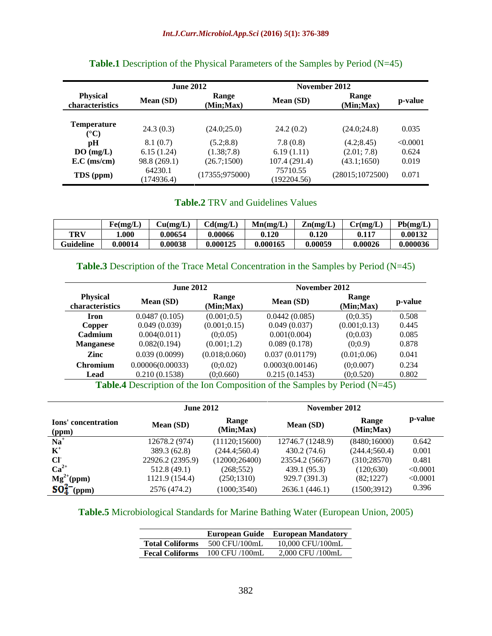|                                       | <b>June 2012</b>      |                    |                         | November 2012           |          |
|---------------------------------------|-----------------------|--------------------|-------------------------|-------------------------|----------|
| <b>Physical</b><br>characteristics    | <b>Mean (SD)</b>      | Range<br>(Min;Max) | Mean (SD)               | Kange<br>(Min;Max)      | n-value  |
| <b>Temperature</b><br>$({}^{\circ}C)$ | 24.3(0.3)             | (24.0;25.          | 24.2(0.2)               | (24.0;24.8)             | 0.035    |
| pH                                    | 8.1(0.7)              | (5.2; 8.8)         | 7.8(0.8)                | (4.2; 8.45)             | < 0.0001 |
| DO(mg/L)                              | 5.15(1.24)            | (1.38;7.8)         | 6.19(1.11)              | (2.01; 7.8)             | 0.624    |
| $E.C$ (ms/cm)                         | 98.8 (269.1)          | (26.7;1500)        | 107.4 (291.4            | (43.1;1650)             | 0.019    |
| TDS (ppm)                             | 64230.1<br>(174936.4) | (17355; 975000)    | 75710.55<br>(192204.56) | $(28015;1072500)$ 0.071 |          |

### **Table.1** Description of the Physical Parameters of the Samples by Period (N=45)

### **Table.2** TRV and Guidelines Values

|            | Fe(mg/L) | $\Gamma$ u(mg/L) | Cd(mg/L) | Mn(mg/L) | $\mathbf{Zn}(mg/L)$ | Cr(mg/L) | Pb(mg/L) |
|------------|----------|------------------|----------|----------|---------------------|----------|----------|
| <b>TRV</b> | 1.000    | 0.0000           | 0.00066  | 0.120    | 0.120               | 0.117    | 0.00132  |
| Guideline  | 0.00014  | 0.000<br>0.00    | 0.000125 | 0.000165 | 0.00059             | 0.00026  | 0.000036 |

### **Table.3** Description of the Trace Metal Concentration in the Samples by Period (N=45)

|                                    | <b>June 2012</b> |                           | November 2012   |                   |           |
|------------------------------------|------------------|---------------------------|-----------------|-------------------|-----------|
| <b>Physical</b><br>characteristics | Mean (SD)        | <b>Range</b><br>(Min;Max) | Mean (SD)       | Range<br>Min;Max) | p-value   |
| <b>Iron</b>                        | 0.0487(0.105)    | (0.001;0.5)               | 0.0442(0.085)   | (0, 0.35)         | 0.508     |
| Copper                             | 0.049(0.039)     | (0.001; 0.15)             | 0.049(0.037)    | (0.001; 0.13)     | 0.445     |
| Cadmiun                            | 0.004(0.011)     | (0;0.05)                  | 0.001(0.004)    | (0;0.03)          | 0.085     |
| <b>Manganese</b>                   | 0.082(0.194)     | (0.001;1.2)               | 0.089(0.178)    | (0,0.9)           | 0.878     |
| Zinc                               | 0.039(0.0099)    | (0.018; 0.060)            | 0.037 (0.01179) | (0.01;0.06)       | $0.041\,$ |
| <b>Chromius</b>                    | 0.00006(0.00033  | (0;0.02)                  | 0.0003(0.00146) | (0;0.007)         | 0.234     |
|                                    | 0.210(0.1538)    | (0;0.660)                 | 0.215(0.1453)   | (0;0.520)         | 0.802     |

**Table.4** Description of the Ion Composition of the Samples by Period (N=45)

|                              | <b>June 2012</b> |                           | November 2012    |                   |          |
|------------------------------|------------------|---------------------------|------------------|-------------------|----------|
| Ions' concentration<br>(ppm) | <b>Mean (SD)</b> | <b>Kange</b><br>(Min;Max) | Mean (SD)        | Kane<br>(Min;Max) | p-value  |
| $Na+$                        | 12678.2 (974     | (11120; 15600)            | 12746.7 (1248.9) | (8480;16000)      | 0.642    |
| $T$ $\tau$ +<br>A.           | 389.3 (62.8)     | (244.4; 560.4)            | 430.2 (74.6)     | (244.4;560.4)     | 0.001    |
| CI                           | 22926.2 (2395.9) | (12000; 26400)            | 23554.2 (5667    | (310; 28570)      | 0.481    |
| $Ca2+$                       | 512.8(49.1)      | (268; 552)                | 439.1 (95.3)     | (120; 630)        | < 0.0001 |
| $Mg^{2+}(ppm)$               | 1121.9 (154.4)   | (250;1310)                | 929.7 (391.3)    | (82;1227)         | < 0.0001 |
| $SO_4^{2-}$ (ppm)            | 2576 (474.2      | (1000; 3540)              | 2636.1 (446.     | (1500; 3912)      | 0.396    |

### **Table.5** Microbiological Standards for Marine Bathing Water (European Union, 2005)

| European Guide European Mandatory                  |
|----------------------------------------------------|
| Total Coliforms 500 CFU/100mL<br>10,000 CFU/100mL  |
| Fecal Coliforms 100 CFU /100mL<br>2,000 CFU /100mL |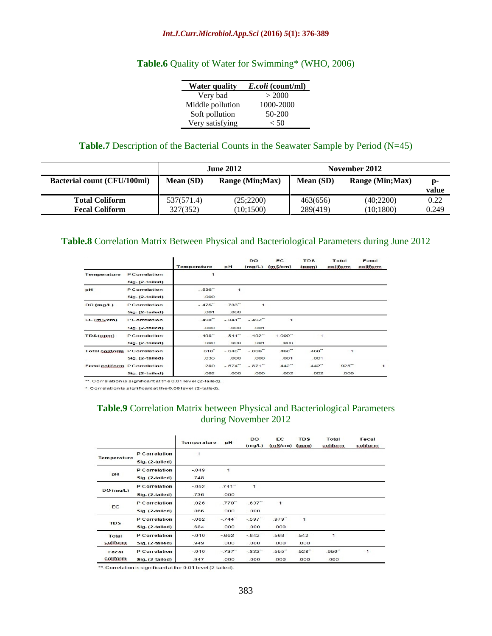### **Table.6** Quality of Water for Swimming\* (WHO, 2006)

| <b>Water quality</b> | <i>E.coli</i> (count/ml) |
|----------------------|--------------------------|
| Very bad             | > 2000                   |
| Middle pollution     | 1000-2000                |
| Soft pollution       | 50-200                   |
| Very satisfying      | $-50$                    |

### **Table.7** Description of the Bacterial Counts in the Seawater Sample by Period (N=45)

|                                       |                             | IIE 2012   |          | November 2012                               |       |
|---------------------------------------|-----------------------------|------------|----------|---------------------------------------------|-------|
| Bacterial count (CFU/100ml) Mean (SD) |                             |            |          | Range (Min;Max)   Mean (SD) Range (Min;Max) |       |
|                                       |                             |            |          |                                             |       |
| <b>Total Coliform</b>                 |                             | (25; 2200) | 463(656) | (40;2200)                                   | 0.22  |
| <b>Fecal Coliform</b>                 | 327(352)<br><i>341\3341</i> | (10;1500)  | 289(419) | (10;1800)                                   | 0.249 |

### **Table.8** Correlation Matrix Between Physical and Bacteriological Parameters during June 2012

|                                     |                                           | Temperature                   | pH                            | <b>DO</b><br>(mg/L)           | EC.<br>(mS/cm)               | <b>TDS</b><br>(ppm)          | Total<br>coliform | Fecal<br>coliform |
|-------------------------------------|-------------------------------------------|-------------------------------|-------------------------------|-------------------------------|------------------------------|------------------------------|-------------------|-------------------|
| Temperature                         | <b>P</b> Correlation<br>Sig. (2-tailed)   | $\mathbf{1}$                  |                               |                               |                              |                              |                   |                   |
| pH                                  | <b>P</b> Correlation<br>Sig. (2-tailed)   | $-.536-1$<br>.000             | 1                             |                               |                              |                              |                   |                   |
| DO(mg/L)                            | <b>P</b> Correlation<br>$Sig. (2-tailed)$ | $-.475$ <sup>**</sup><br>.001 | $.733$ <sup>**</sup><br>.000  | $\mathbf{1}$                  |                              |                              |                   |                   |
| $EC$ (m $S/cm$ )                    | <b>P</b> Correlation<br>Sig. (2-tailed)   | $.498$ <sup>**</sup><br>.000  | $-841$ <sup>**</sup><br>.000  | $-.492$ <sup>**</sup><br>.001 | $\mathbf{1}$                 |                              |                   |                   |
| TDS(ppm)                            | <b>P</b> Correlation<br>Sig. (2-tailed)   | $.498$ <sup>**</sup><br>.000  | $-.841$ <sup>**</sup><br>.000 | $-.492$ <sup>**</sup><br>.001 | $1.000 -$<br>.000            | 1                            |                   |                   |
| <b>Total coliform P Correlation</b> | Sig. (2-tailed)                           | $.318+$<br>.033               | $-.646"$<br>.000              | $-.866"$<br>.000              | $468 -$<br>.001              | $.468$ <sup>**</sup><br>.001 | $\mathbf{1}$      |                   |
| Fecal coliform P Correlation        | Sig. (2-tailed)                           | .280<br>.062                  | $-.674-1$<br>.000             | $-.871$ <sup>**</sup><br>.000 | $.442$ <sup>**</sup><br>.002 | $.442$ <sup>-1</sup><br>.002 | $.928 -$<br>.000  | $\mathbf{1}$      |

\*\*. Correlation is significant at the 0.01 level (2-tailed).

\*. Correlation is significant at the 0.05 level (2-tailed).

### **Table.9** Correlation Matrix between Physical and Bacteriological Parameters during November 2012

|                    |                                         | Temperature     | pH                            | <b>DO</b><br>(mg/L) | EC<br>(mS/cm)                | <b>TDS</b><br>(ppm)          | Total<br>coliform             | Fecal<br>coliform. |
|--------------------|-----------------------------------------|-----------------|-------------------------------|---------------------|------------------------------|------------------------------|-------------------------------|--------------------|
| Temperature        | P Correlation<br>Sig. (2-tailed)        | $\mathbf{1}$    |                               |                     |                              |                              |                               |                    |
| pH                 | <b>P</b> Correlation<br>Sig. (2-tailed) | $-.049$<br>.748 | 1                             |                     |                              |                              |                               |                    |
| DO(mg/L)           | <b>P</b> Correlation<br>Sig. (2-tailed) | $-.052$<br>.736 | $.741$ <sup>-1</sup><br>.000  | $\mathbf{1}$        |                              |                              |                               |                    |
| <b>EC</b>          | <b>P</b> Correlation<br>Sig. (2-tailed) | $-.026$<br>.866 | $-.770$ <sup>-1</sup><br>.000 | $-.637-$<br>.000    | $\mathbf{1}$                 |                              |                               |                    |
| <b>TDS</b>         | <b>P</b> Correlation<br>Sig. (2-tailed) | $-.062$<br>.684 | $-744$ <sup>-1</sup><br>.000  | $-597$<br>.000      | $.979 -$<br>.000             | 1                            |                               |                    |
| Total<br>coliform. | <b>P</b> Correlation<br>Sig. (2-tailed) | $-.010$<br>.949 | $-0.662$<br>.000              | $-842$<br>.000      | $.568 -$<br>.000             | $.542$ <sup>**</sup><br>.000 | $\mathbf{1}$                  |                    |
| Fecal<br>coliform. | P Correlation<br>Sig. (2-tailed)        | $-.010$<br>.947 | $-.737$ <sup>**</sup><br>.000 | $-.832+$<br>.000    | $.555$ <sup>**</sup><br>.000 | $.528$ <sup>**</sup><br>.000 | $.956$ <sup>**</sup><br>.000. | $\mathbf{1}$       |

\*\*. Correlation is significant at the 0.01 level (2-tailed).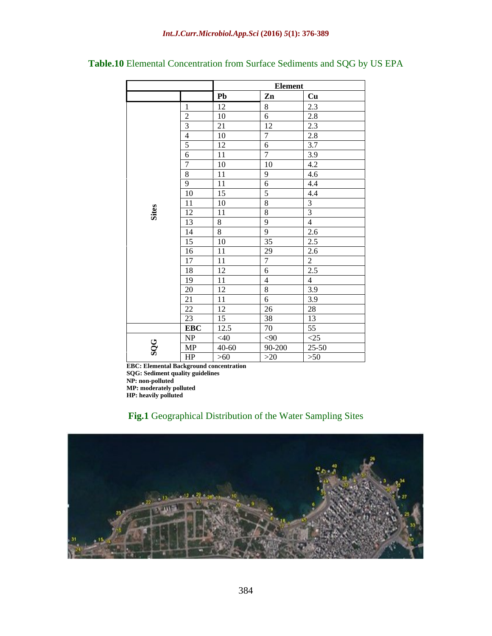|          |            |               | <b>Element</b>       |                |
|----------|------------|---------------|----------------------|----------------|
|          |            | Pb            | Zn                   | Cu             |
|          |            | 12            | 8                    | 2.3            |
|          |            | 10            | - 6                  | 2.8            |
|          |            | 21            | <sup>12</sup>        | 2.3            |
|          |            | 10            | $\mathcal{L}$        | 2.8            |
|          | $\epsilon$ | 12            | 6                    | 3.7            |
|          |            | <sup>11</sup> | $\vert 7 \vert$      | 3.9            |
|          |            | 10            | 10                   | 4.2            |
|          | 8          | <sup>11</sup> | 19                   | 4.6            |
|          |            | 11            | 6                    | 4.4            |
|          | 10         | 15            | $\sim$ 5             | 4.4            |
|          | 11<br>11   | 10            | 8                    | $\mathcal{Z}$  |
| :<br>第   | 12         | <sup>11</sup> | 8                    | 3              |
|          | 13         | 8             | $\overline{9}$       | 4              |
|          | 14         |               | $\overline{q}$       | 2.6            |
|          | 15         | 10            | 35                   | 2.5            |
|          | 16         | <sup>11</sup> | 29                   | 2.6            |
|          | 17         | <sup>11</sup> | $\overline{7}$       | $\overline{2}$ |
|          | 18         | 12            | 6                    | 2.5            |
|          | 19         | 11            |                      | $\overline{4}$ |
|          | 20         | 12            | 8                    | 3.9            |
|          | 21         | -11           | 6                    | 3.9            |
|          | 22         | 12            | $\boxed{26}$         | 28             |
|          | 23         | 15            | 38                   | 13             |
|          | EBC        | 12.5          | 70                   | 55             |
|          | NP         | $<$ 40        | $\langle 90 \rangle$ | $\leq$ 25      |
| $\infty$ | MP         | $40 - 60$     | 90-200               | $25 - 50$      |
| Ø        | HP         | >60           | >20                  | >50            |

**Table.10** Elemental Concentration from Surface Sediments and SQG by US EPA

**EBC: Elemental Background concentration**

**SQG: Sediment quality guidelines**

**NP: non-polluted**

**MP: moderately polluted**

**HP: heavily polluted**

### **Fig.1** Geographical Distribution of the Water Sampling Sites

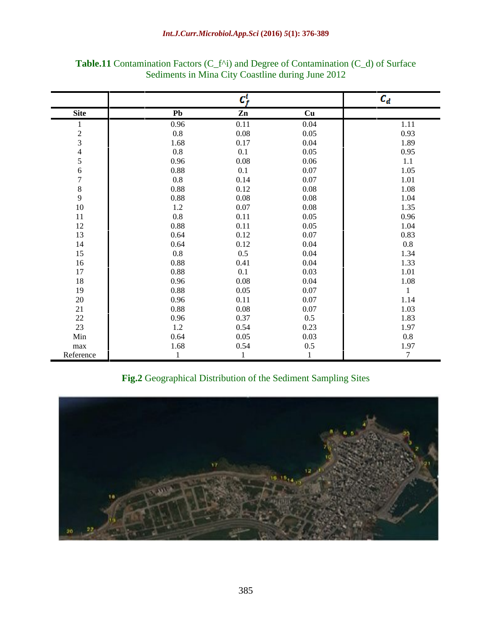|           |         | 1. <b>.</b>   |          | ∿a.        |
|-----------|---------|---------------|----------|------------|
| Site      | Pb      | $\mathbf{Zn}$ | Cu       |            |
|           | 0.96    | 0.11          | 0.04     | 1.11       |
|           | $0.8\,$ | 0.08          | 0.05     | 0.93       |
|           | 1.68    | 0.17          | 0.04     | 1.89       |
|           | $0.8\,$ | $0.1\,$       | 0.05     | 0.95       |
|           | 0.96    | 0.08          | 0.06     | $1.1\,$    |
|           | 0.88    | 0.1           | 0.07     | 1.05       |
|           | 0.8     | 0.14          | 0.07     | 1.01       |
|           | 0.88    | 0.12          | 0.08     | $1.08\,$   |
|           | 0.88    | $0.08\,$      | 0.08     | 1.04       |
| $10\,$    | $1.2\,$ | 0.07          | 0.08     | 1.35       |
| 11        | 0.8     | 0.11          | 0.05     | 0.96       |
| 12        | 0.88    | 0.11          | 0.05     | 1.04       |
| 13        | 0.64    | 0.12          | 0.07     | 0.83       |
| 14        | 0.64    | 0.12          | 0.04     | $0.8\,$    |
| 15        | $0.8\,$ | $0.5\,$       | 0.04     | 1.34       |
| 16        | 0.88    | 0.41          | 0.04     | 1.33       |
| 17        | 0.88    | $0.1\,$       | 0.03     | $1.01\,$   |
| 18        | 0.96    | 0.08          | 0.04     | $1.08\,$   |
| 19        | 0.88    | 0.05          | $0.07\,$ |            |
| $20\,$    | 0.96    | 0.11          | 0.07     | 1.14       |
| 21        | 0.88    | 0.08          | 0.07     | 1.03       |
| 22        | 0.96    | 0.37          | $0.5\,$  | 1.83       |
| 23        | 1.2     | 0.54          | 0.23     | 1.97       |
| Min       | 0.64    | 0.05          | 0.03     | $0.8\,$    |
| max       | 1.68    | 0.54          | $0.5\,$  | 1.97       |
| Reference |         |               |          | $\sqrt{2}$ |

**Table.11** Contamination Factors (C\_f^i) and Degree of Contamination (C\_d) of Surface Sediments in Mina City Coastline during June 2012

**Fig.2** Geographical Distribution of the Sediment Sampling Sites

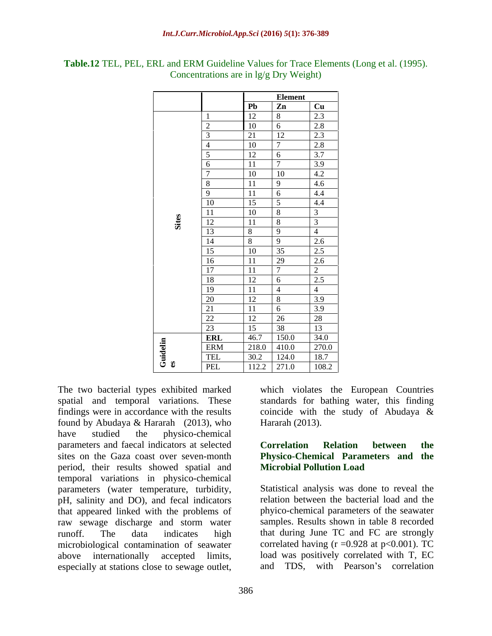|                       |             |                                    | <b>Element</b>                                        |
|-----------------------|-------------|------------------------------------|-------------------------------------------------------|
|                       |             | l Ph                               | $\frac{Cu}{2.3}$<br>Zn                                |
|                       |             | 12<br>$\overline{8}$               |                                                       |
|                       |             | 1 <sub>0</sub>                     |                                                       |
|                       |             | 21                                 | $\frac{2.8}{2.3}$<br>2.3<br>12                        |
|                       |             | 1 <sub>0</sub>                     |                                                       |
|                       |             | 12                                 | $\frac{1}{3.7}$                                       |
|                       |             | 11                                 | 3.9                                                   |
|                       |             | 10 <sup>1</sup><br>$\overline{10}$ | $\frac{4.2}{4.6}$ $\frac{4.6}{4.4}$                   |
|                       |             | 11<br>$\Omega$                     |                                                       |
|                       |             | 11                                 |                                                       |
|                       | 10          | 15                                 | $\frac{11}{4.4}$<br>the control of the control of the |
|                       |             | $10^{-7}$                          | $\overline{3}$                                        |
|                       | $\sqrt{10}$ | 11<br>∣ o                          |                                                       |
| $\boldsymbol{\omega}$ |             |                                    |                                                       |
|                       | 14          | $\Omega$                           | $\frac{2.6}{2.5}$                                     |
|                       | 15          | 35<br>$10^{-7}$                    |                                                       |
|                       | 16          | 20<br>11                           | $\frac{2.6}{2}$                                       |
|                       | 17          | 11<br>$-$                          |                                                       |
|                       | -18         | 12 <sub>1</sub>                    | $\frac{1}{2.5}$                                       |
|                       | -19         | 11                                 | $4\overline{ }$                                       |
|                       | 20          | 12                                 | 3.9                                                   |
|                       | 21          | 11                                 | $\frac{3.9}{28}$                                      |
|                       | 22          | 12<br>26                           |                                                       |
|                       | $\Omega$    | 15<br>$\vert$ 38                   |                                                       |
|                       | ERL         | $\frac{16}{46.7}$ 150.0            | $\frac{13}{34.0}$<br>270.0                            |
|                       | <b>ERM</b>  | $218.0$ 410.0                      |                                                       |
|                       | <b>TEL</b>  | $30.2$ 124.0                       | 18.7                                                  |
| ూ క                   | PEL         | 112.2 271.0                        | 108.2                                                 |

**Table.12** TEL, PEL, ERL and ERM Guideline Values for Trace Elements (Long et al. (1995). Concentrations are in lg/g Dry Weight)

The two bacterial types exhibited marked which violates the European Countries found by Abudaya & Hararah (2013), who have studied the physico-chemical parameters and faecal indicators at selected **Correlation Relation between** the sites on the Gaza coast over seven-month **Physico-Chemical Parameters and the** period, their results showed spatial and temporal variations in physico-chemical parameters (water temperature, turbidity, pH, salinity and DO), and fecal indicators that appeared linked with the problems of raw sewage discharge and storm water microbiological contamination of seawater The two bacterial types exhibited marked which violates the European Countries<br>spatial and temporal variations. These standards for bathing water, this finding<br>findings were in accordance with the results coincide with th

spatial and temporal variations. These standards for bathing water, this finding findings were in accordance with the results coincide with the study of Abudaya & Hararah (2013).

## **Correlation Relation between the Microbial Pollution Load**

runoff. The data indicates high that during June TC and FC are strongly above internationally accepted limits, load was positively correlated with T, EC Statistical analysis was done to reveal the relation between the bacterial load and the phyico-chemical parameters of the seawater samples. Results shown in table 8 recorded correlated having  $(r = 0.928$  at  $p < 0.001$ ). TC and TDS, with Pearson's correlation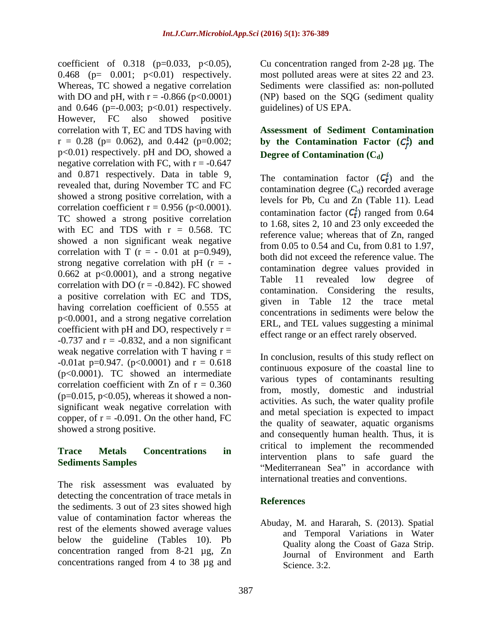coefficient of  $0.318$  (p=0.033, p<0.05), 0.468 (p= 0.001; p<0.01) respectively. Whereas, TC showed a negative correlation Sediments were classified as: non-polluted with DO and pH, with  $r = -0.866$  (p<0.0001) (NP) based on the SQG (sediment quality and  $0.646$  (p=-0.003; p<0.01) respectively. However, FC also showed positive correlation with T, EC and TDS having with **Assessment of Sediment Contamination**  $r = 0.28$  (p= 0.062), and 0.442 (p=0.002; **by the Contamination Factor** ( $C_f^i$ ) and p<0.01) respectively. pH and DO, showed a negative correlation with FC, with  $r = -0.647$ and 0.871 respectively. Data in table 9, revealed that, during November TC and FC showed a strong positive correlation, with a correlation coefficient  $r = 0.956$  (p<0.0001). TC showed a strong positive correlation with EC and TDS with  $r = 0.568$ . TC showed a non significant weak negative correlation with T ( $r = -0.01$  at  $p=0.949$ ), strong negative correlation with pH  $(r = -$ 0.662 at  $p < 0.0001$ ), and a strong negative<br>Table 11 revealed low degree of correlation with DO  $(r = -0.842)$ . FC showed a positive correlation with EC and TDS, having correlation coefficient of 0.555 at p<0.0001, and a strong negative correlation coefficient with pH and DO, respectively  $r =$  effect range or an effect rarely observed.<br>-0.737 and  $r = -0.832$ , and a non significant weak negative correlation with T having  $r =$  $-0.01$ at p=0.947. (p<0.0001) and r = 0.618 (p<0.0001). TC showed an intermediate correlation coefficient with Zn of  $r = 0.360$  $(p=0.015, p<0.05)$ , whereas it showed a nonsignificant weak negative correlation with copper, of  $r = -0.091$ . On the other hand, FC

The risk assessment was evaluated by detecting the concentration of trace metals in<br>
References the sediments. 3 out of 23 sites showed high value of contamination factor whereas the rest of the elements showed average values below the guideline (Tables 10). Pb concentration ranged from 8-21 µg, Zn concentrations ranged from 4 to 38 µg and

Cu concentration ranged from 2-28 µg. The most polluted areas were at sites 22 and 23. guidelines) of US EPA.

# **Degree of Contamination (C<sub>d</sub>)**

The contamination factor  $(C_f^l)$  and the contamination degree  $(C_d)$  recorded average levels for Pb, Cu and Zn (Table 11). Lead contamination factor  $(C_f^i)$  ranged from 0.64 to 1.68, sites 2, 10 and 23 only exceeded the reference value; whereas that of Zn, ranged from 0.05 to 0.54 and Cu, from 0.81 to 1.97, both did not exceed the reference value. The contamination degree values provided in Table 11 revealed low degree of contamination. Considering the results, given in Table 12 the trace metal concentrations in sediments were below the ERL, and TEL values suggesting a minimal effect range or an effect rarely observed.

showed a strong positive. Thus, it is and consequently human health. Thus, it is **Trace Metals Concentrations in Sediments Samples Sea in the Mediterranean** Sea in accordance with In conclusion, results of this study reflect on continuous exposure of the coastal line to various types of contaminants resulting from, mostly, domestic and industrial activities. As such, the water quality profile and metal speciation is expected to impact the quality of seawater, aquatic organisms critical to implement the recommended intervention plans to safe guard the international treaties and conventions.

### **References**

Abuday, M. and Hararah, S. (2013). Spatial and Temporal Variations in Water Quality along the Coast of Gaza Strip. Journal of Environment and Earth Science. 3:2.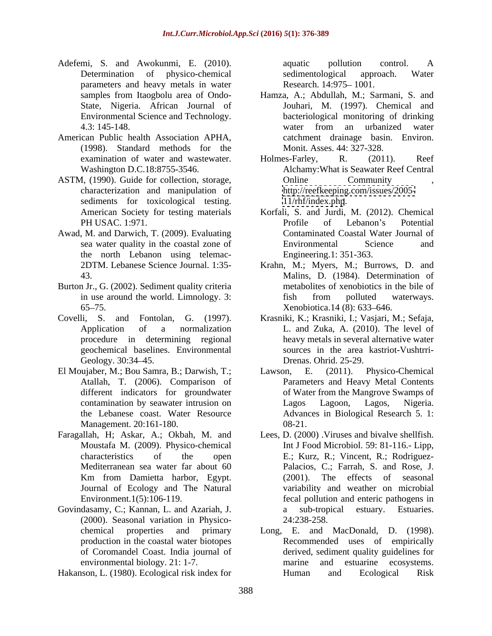- Adefemi, S. and Awokunmi, E. (2010). Determination of physico-chemical sedimentological approach. Water parameters and heavy metals in water
- American Public health Association APHA, (1998). Standard methods for the
- ASTM, (1990). Guide for collection, storage, characterization and manipulation of sediments for toxicological testing.
- Awad, M. and Darwich, T. (2009). Evaluating the north Lebanon using telemac-
- Burton Jr., G. (2002). Sediment quality criteria
- geochemical baselines. Environmental
- El Moujaber, M.; Bou Samra, B.; Darwish, T.; Lawson, E. Management. 20:161-180.
- Faragallah, H; Askar, A.; Okbah, M. and Journal of Ecology and The Natural
- Govindasamy, C.; Kannan, L. and Azariah, J.  $\qquad \qquad$  a sub-tropical estuary. Estuaries. (2000). Seasonal variation in Physico environmental biology. 21: 1-7.

Hakanson, L. (1980). Ecological risk index for

aquatic pollution control. A sedimentological approach. Water Research. 14:975-1001.

- samples from Itaogbolu area of Ondo- Hamza, A.; Abdullah, M.; Sarmani, S. and State, Nigeria. African Journal of Jouhari, M. (1997). Chemical and Environmental Science and Technology. bacteriological monitoring of drinking 4.3: 145-148. water from an urbanized water catchment drainage basin. Environ. Monit. Asses. 44: 327-328.
- examination of water and wastewater. Holmes-Farley, R. (2011). Reef Washington D.C.18:8755-3546. Alchamy:What is Seawater Reef Central Holmes-Farley, R. (2011). Reef Online Community , <http://reefkeeping.com/issues/2005-> <11/rhf/index.php>.
- American Society for testing materials Korfali, S. and Jurdi, M. (2012). Chemical PH USAC. 1:971. sea water quality in the coastal zone of The Environmental Science and Profile of Lebanon's Potential Contaminated Coastal Water Journal of Environmental Science and Engineering.1: 351-363.
- 2DTM. Lebanese Science Journal. 1:35- Krahn, M.; Myers, M.; Burrows, D. and 43. Malins, D. (1984). Determination of in use around the world. Limnology. 3: fish from polluted waterways. 65–75. Xenobiotica. 14 (8): 633–646. metabolites of xenobiotics in the bile of fish from polluted waterways.
- Covelli, S. and Fontolan, G. (1997). Krasniki, K.; Krasniki, I.; Vasjari, M.; Sefaja, Application of a normalization L. and Zuka, A. (2010). The level of procedure in determining regional heavy metals in several alternative water Geology. 30:34–45. Christian Drenas. Ohrid. 25-29. sources in the area kastriot-Vushtrri- Drenas. Ohrid. 25-29.
	- Atallah, T. (2006). Comparison of Parameters and Heavy Metal Contents different indicators for groundwater of Water from the Mangrove Swamps of contamination by seawater intrusion on Tagos Lagoon, Lagos, Nigeria. the Lebanese coast. Water Resource Advances in Biological Research 5. 1:  $(2011)$ . Physico-Chemical Lagos Lagoon, Lagos, Nigeria. 08-21.
	- Moustafa M. (2009). Physico-chemical Int J Food Microbiol. 59: 81-116.- Lipp, characteristics of the open E.; Kurz, R.; Vincent, R.; Rodriguez- Mediterranean sea water far about 60 Palacios, C.; Farrah, S. and Rose, J. Km from Damietta harbor, Egypt. Environment.1(5):106-119. fecal pollution and enteric pathogens in Lees, D. (2000) .Viruses and bivalve shellfish. (2001). The effects of seasonal variability and weather on microbial a sub-tropical estuary. Estuaries. 24:238-258.
	- chemical properties and primary Long, E. and MacDonald, D. (1998). production in the coastal water biotopes Recommended uses of empirically of Coromandel Coast. India journal of derived, sediment quality guidelines for and estuarine ecosystems. Human and Ecological Risk